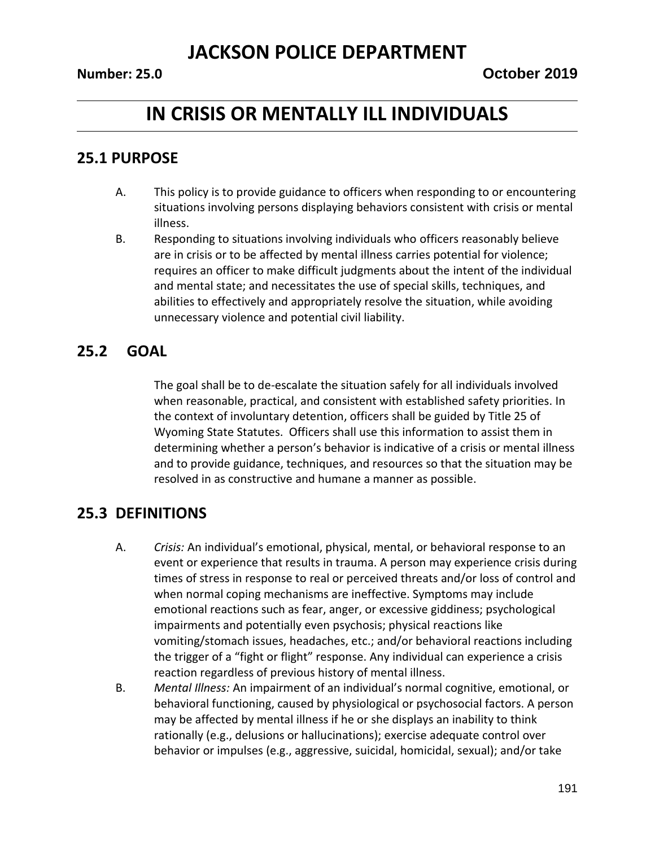## **IN CRISIS OR MENTALLY ILL INDIVIDUALS**

#### **25.1 PURPOSE**

- A. This policy is to provide guidance to officers when responding to or encountering situations involving persons displaying behaviors consistent with crisis or mental illness.
- B. Responding to situations involving individuals who officers reasonably believe are in crisis or to be affected by mental illness carries potential for violence; requires an officer to make difficult judgments about the intent of the individual and mental state; and necessitates the use of special skills, techniques, and abilities to effectively and appropriately resolve the situation, while avoiding unnecessary violence and potential civil liability.

### **25.2 GOAL**

The goal shall be to de-escalate the situation safely for all individuals involved when reasonable, practical, and consistent with established safety priorities. In the context of involuntary detention, officers shall be guided by Title 25 of Wyoming State Statutes. Officers shall use this information to assist them in determining whether a person's behavior is indicative of a crisis or mental illness and to provide guidance, techniques, and resources so that the situation may be resolved in as constructive and humane a manner as possible.

#### **25.3 DEFINITIONS**

- A. *Crisis:* An individual's emotional, physical, mental, or behavioral response to an event or experience that results in trauma. A person may experience crisis during times of stress in response to real or perceived threats and/or loss of control and when normal coping mechanisms are ineffective. Symptoms may include emotional reactions such as fear, anger, or excessive giddiness; psychological impairments and potentially even psychosis; physical reactions like vomiting/stomach issues, headaches, etc.; and/or behavioral reactions including the trigger of a "fight or flight" response. Any individual can experience a crisis reaction regardless of previous history of mental illness.
- B. *Mental Illness:* An impairment of an individual's normal cognitive, emotional, or behavioral functioning, caused by physiological or psychosocial factors. A person may be affected by mental illness if he or she displays an inability to think rationally (e.g., delusions or hallucinations); exercise adequate control over behavior or impulses (e.g., aggressive, suicidal, homicidal, sexual); and/or take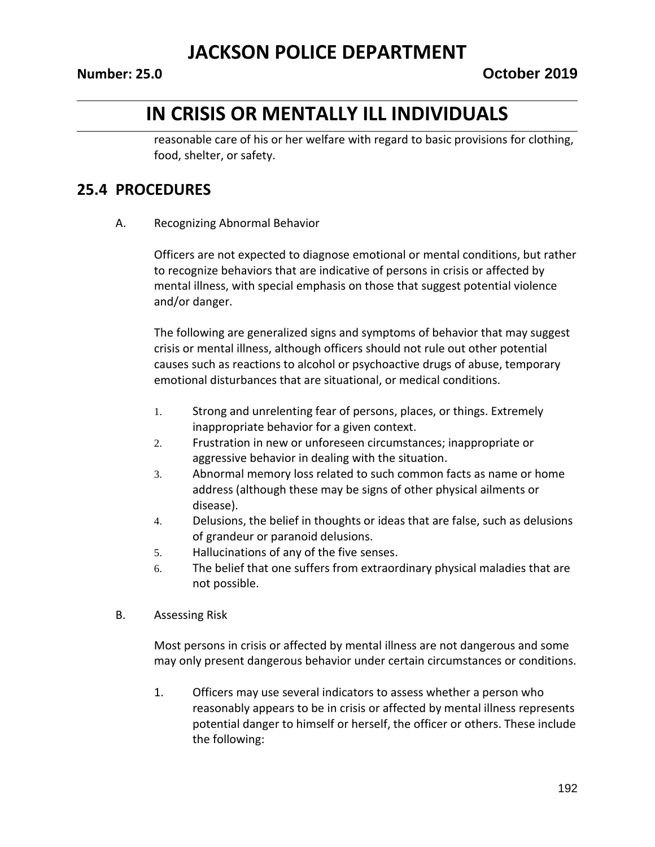## **IN CRISIS OR MENTALLY ILL INDIVIDUALS**

reasonable care of his or her welfare with regard to basic provisions for clothing, food, shelter, or safety.

### **25.4 PROCEDURES**

A. Recognizing Abnormal Behavior

Officers are not expected to diagnose emotional or mental conditions, but rather to recognize behaviors that are indicative of persons in crisis or affected by mental illness, with special emphasis on those that suggest potential violence and/or danger.

The following are generalized signs and symptoms of behavior that may suggest crisis or mental illness, although officers should not rule out other potential causes such as reactions to alcohol or psychoactive drugs of abuse, temporary emotional disturbances that are situational, or medical conditions.

- 1. Strong and unrelenting fear of persons, places, or things. Extremely inappropriate behavior for a given context.
- 2. Frustration in new or unforeseen circumstances; inappropriate or aggressive behavior in dealing with the situation.
- 3. Abnormal memory loss related to such common facts as name or home address (although these may be signs of other physical ailments or disease).
- 4. Delusions, the belief in thoughts or ideas that are false, such as delusions of grandeur or paranoid delusions.
- 5. Hallucinations of any of the five senses.
- 6. The belief that one suffers from extraordinary physical maladies that are not possible.
- B. Assessing Risk

Most persons in crisis or affected by mental illness are not dangerous and some may only present dangerous behavior under certain circumstances or conditions.

1. Officers may use several indicators to assess whether a person who reasonably appears to be in crisis or affected by mental illness represents potential danger to himself or herself, the officer or others. These include the following: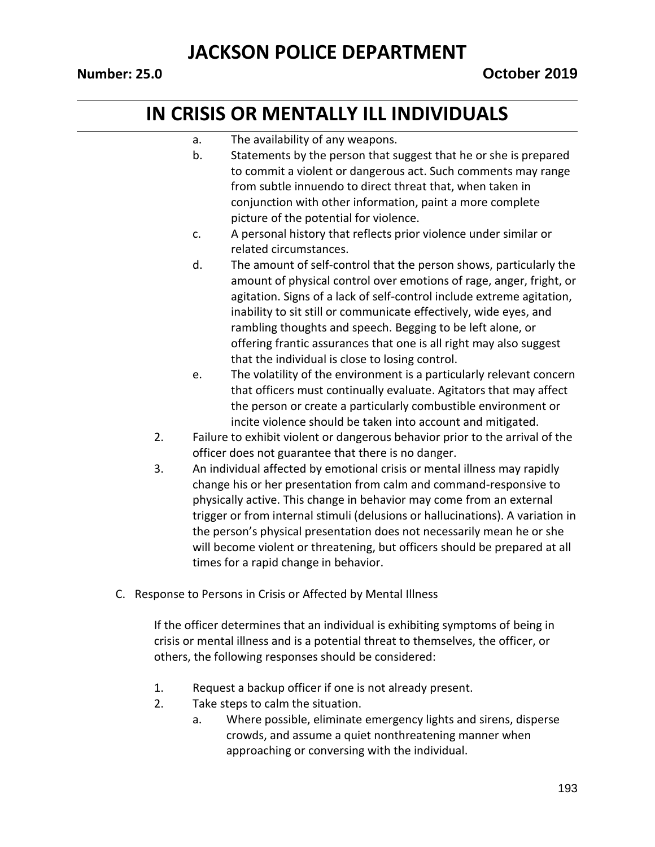## **IN CRISIS OR MENTALLY ILL INDIVIDUALS**

- a. The availability of any weapons.
- b. Statements by the person that suggest that he or she is prepared to commit a violent or dangerous act. Such comments may range from subtle innuendo to direct threat that, when taken in conjunction with other information, paint a more complete picture of the potential for violence.
- c. A personal history that reflects prior violence under similar or related circumstances.
- d. The amount of self-control that the person shows, particularly the amount of physical control over emotions of rage, anger, fright, or agitation. Signs of a lack of self-control include extreme agitation, inability to sit still or communicate effectively, wide eyes, and rambling thoughts and speech. Begging to be left alone, or offering frantic assurances that one is all right may also suggest that the individual is close to losing control.
- e. The volatility of the environment is a particularly relevant concern that officers must continually evaluate. Agitators that may affect the person or create a particularly combustible environment or incite violence should be taken into account and mitigated.
- 2. Failure to exhibit violent or dangerous behavior prior to the arrival of the officer does not guarantee that there is no danger.
- 3. An individual affected by emotional crisis or mental illness may rapidly change his or her presentation from calm and command-responsive to physically active. This change in behavior may come from an external trigger or from internal stimuli (delusions or hallucinations). A variation in the person's physical presentation does not necessarily mean he or she will become violent or threatening, but officers should be prepared at all times for a rapid change in behavior.
- C. Response to Persons in Crisis or Affected by Mental Illness

If the officer determines that an individual is exhibiting symptoms of being in crisis or mental illness and is a potential threat to themselves, the officer, or others, the following responses should be considered:

- 1. Request a backup officer if one is not already present.
- 2. Take steps to calm the situation.
	- a. Where possible, eliminate emergency lights and sirens, disperse crowds, and assume a quiet nonthreatening manner when approaching or conversing with the individual.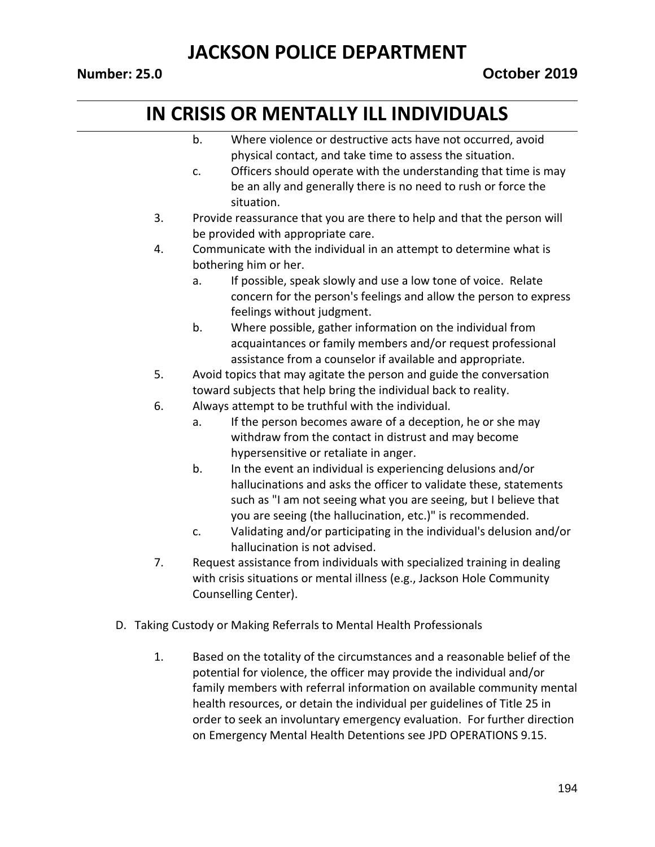# **IN CRISIS OR MENTALLY ILL INDIVIDUALS**

- b. Where violence or destructive acts have not occurred, avoid physical contact, and take time to assess the situation.
- c. Officers should operate with the understanding that time is may be an ally and generally there is no need to rush or force the situation.
- 3. Provide reassurance that you are there to help and that the person will be provided with appropriate care.
- 4. Communicate with the individual in an attempt to determine what is bothering him or her.
	- a. If possible, speak slowly and use a low tone of voice. Relate concern for the person's feelings and allow the person to express feelings without judgment.
	- b. Where possible, gather information on the individual from acquaintances or family members and/or request professional assistance from a counselor if available and appropriate.
- 5. Avoid topics that may agitate the person and guide the conversation toward subjects that help bring the individual back to reality.
- 6. Always attempt to be truthful with the individual.
	- a. If the person becomes aware of a deception, he or she may withdraw from the contact in distrust and may become hypersensitive or retaliate in anger.
	- b. In the event an individual is experiencing delusions and/or hallucinations and asks the officer to validate these, statements such as "I am not seeing what you are seeing, but I believe that you are seeing (the hallucination, etc.)" is recommended.
	- c. Validating and/or participating in the individual's delusion and/or hallucination is not advised.
- 7. Request assistance from individuals with specialized training in dealing with crisis situations or mental illness (e.g., Jackson Hole Community Counselling Center).
- D. Taking Custody or Making Referrals to Mental Health Professionals
	- 1. Based on the totality of the circumstances and a reasonable belief of the potential for violence, the officer may provide the individual and/or family members with referral information on available community mental health resources, or detain the individual per guidelines of Title 25 in order to seek an involuntary emergency evaluation. For further direction on Emergency Mental Health Detentions see JPD OPERATIONS 9.15.